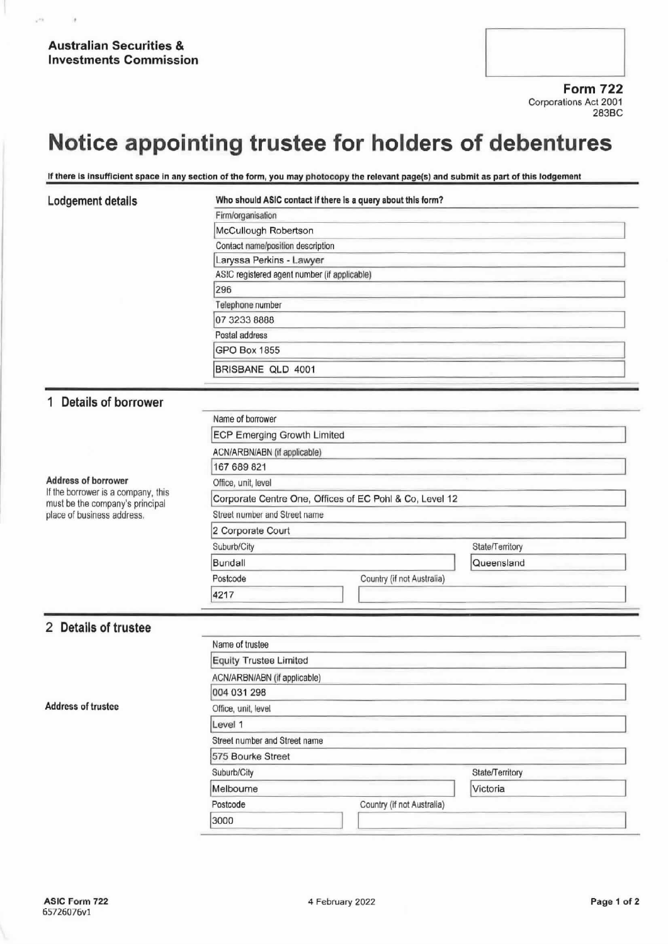Form 722 Corporations Act 2001 283BC

# Notice appointing trustee for holders of debentures

If there is insufficient space in any section of the form, you may photocopy the relevant page(s) and submit as part of this lodgement

 $\rightarrow$ 

í,

### Lodgement details Who should ASIC contact if there is a query about this form?

| Firm/organisation                            |  |
|----------------------------------------------|--|
| McCullough Robertson                         |  |
| Contact name/position description            |  |
| Laryssa Perkins - Lawyer                     |  |
| ASIC registered agent number (if applicable) |  |
| 296                                          |  |
| Telephone number                             |  |
| 07 3233 8888                                 |  |
| Postal address                               |  |
| <b>GPO Box 1855</b>                          |  |
| BRISBANE QLD 4001                            |  |

## <sup>1</sup> Details of borrower

Address of borrower<br>If the borrower is a company, this must be the company's principal place of business address.

| Name of borrower                       |                                                         |                 |
|----------------------------------------|---------------------------------------------------------|-----------------|
| <b>ECP Emerging Growth Limited</b>     |                                                         |                 |
| ACN/ARBN/ABN (if applicable)           |                                                         |                 |
| 167 689 821                            |                                                         |                 |
| Office, unit, level                    |                                                         |                 |
|                                        | Corporate Centre One, Offices of EC Pohl & Co, Level 12 |                 |
| Street number and Street name          |                                                         |                 |
| 2 Corporate Court                      |                                                         |                 |
| Suburb/City                            |                                                         | State/Territory |
| Bundall                                |                                                         | Queensland      |
| Postcode<br>Country (if not Australia) |                                                         |                 |
| 4217                                   |                                                         |                 |

# 2 Details of trustee

| <b>Address of trustee</b> | Name of trustee               |                            |                 |  |
|---------------------------|-------------------------------|----------------------------|-----------------|--|
|                           | Equity Trustee Limited        |                            |                 |  |
|                           | ACN/ARBN/ABN (if applicable)  |                            |                 |  |
|                           | 004 031 298                   |                            |                 |  |
|                           | Office, unit, level           |                            |                 |  |
|                           | Level 1                       |                            |                 |  |
|                           | Street number and Street name |                            |                 |  |
|                           | 575 Bourke Street             |                            |                 |  |
|                           | Suburb/City                   |                            | State/Territory |  |
|                           | Melbourne                     |                            | Victoria        |  |
|                           | Postcode                      | Country (if not Australia) |                 |  |
|                           | 3000                          |                            |                 |  |
|                           |                               |                            |                 |  |